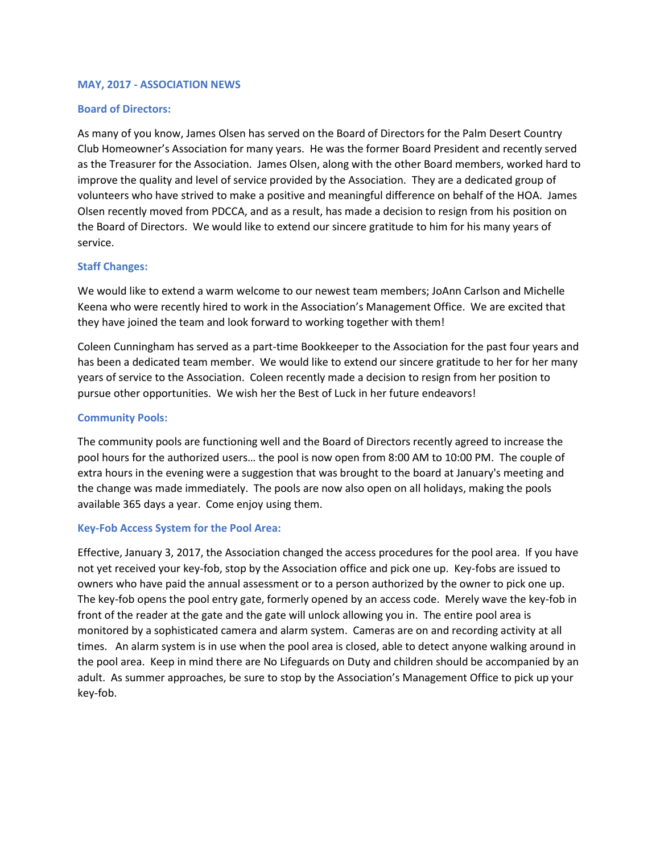## **MAY, 2017 - ASSOCIATION NEWS**

# **Board of Directors:**

As many of you know, James Olsen has served on the Board of Directors for the Palm Desert Country Club Homeowner's Association for many years. He was the former Board President and recently served as the Treasurer for the Association. James Olsen, along with the other Board members, worked hard to improve the quality and level of service provided by the Association. They are a dedicated group of volunteers who have strived to make a positive and meaningful difference on behalf of the HOA. James Olsen recently moved from PDCCA, and as a result, has made a decision to resign from his position on the Board of Directors. We would like to extend our sincere gratitude to him for his many years of service.

# **Staff Changes:**

We would like to extend a warm welcome to our newest team members; JoAnn Carlson and Michelle Keena who were recently hired to work in the Association's Management Office. We are excited that they have joined the team and look forward to working together with them!

Coleen Cunningham has served as a part-time Bookkeeper to the Association for the past four years and has been a dedicated team member. We would like to extend our sincere gratitude to her for her many years of service to the Association. Coleen recently made a decision to resign from her position to pursue other opportunities. We wish her the Best of Luck in her future endeavors!

# **Community Pools:**

The community pools are functioning well and the Board of Directors recently agreed to increase the pool hours for the authorized users… the pool is now open from 8:00 AM to 10:00 PM. The couple of extra hours in the evening were a suggestion that was brought to the board at January's meeting and the change was made immediately. The pools are now also open on all holidays, making the pools available 365 days a year. Come enjoy using them.

## **Key-Fob Access System for the Pool Area:**

Effective, January 3, 2017, the Association changed the access procedures for the pool area. If you have not yet received your key-fob, stop by the Association office and pick one up. Key-fobs are issued to owners who have paid the annual assessment or to a person authorized by the owner to pick one up. The key-fob opens the pool entry gate, formerly opened by an access code. Merely wave the key-fob in front of the reader at the gate and the gate will unlock allowing you in. The entire pool area is monitored by a sophisticated camera and alarm system. Cameras are on and recording activity at all times. An alarm system is in use when the pool area is closed, able to detect anyone walking around in the pool area. Keep in mind there are No Lifeguards on Duty and children should be accompanied by an adult. As summer approaches, be sure to stop by the Association's Management Office to pick up your key-fob.